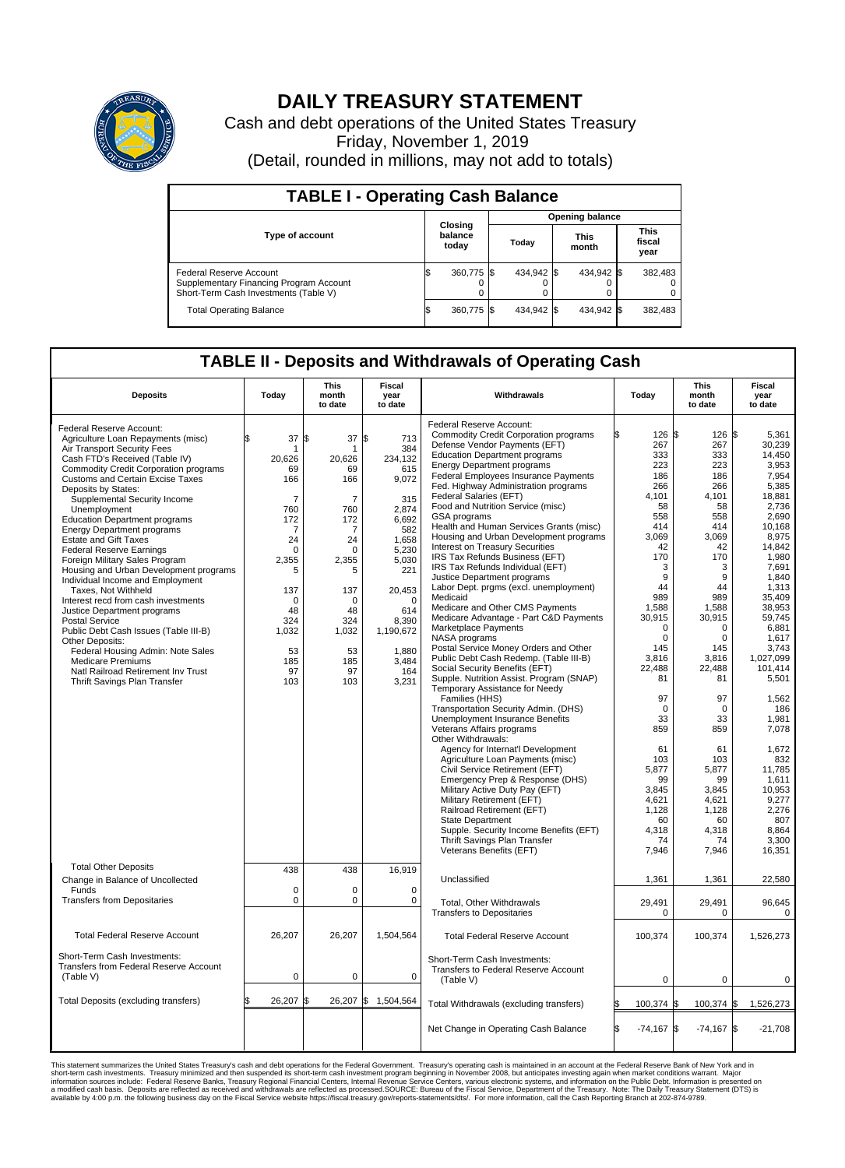

## **DAILY TREASURY STATEMENT**

Cash and debt operations of the United States Treasury Friday, November 1, 2019 (Detail, rounded in millions, may not add to totals)

| <b>TABLE I - Operating Cash Balance</b>                                                                     |  |                             |  |                        |  |                      |  |                               |  |  |  |
|-------------------------------------------------------------------------------------------------------------|--|-----------------------------|--|------------------------|--|----------------------|--|-------------------------------|--|--|--|
|                                                                                                             |  | Closing<br>balance<br>today |  | <b>Opening balance</b> |  |                      |  |                               |  |  |  |
| <b>Type of account</b>                                                                                      |  |                             |  | Today                  |  | <b>This</b><br>month |  | <b>This</b><br>fiscal<br>year |  |  |  |
| Federal Reserve Account<br>Supplementary Financing Program Account<br>Short-Term Cash Investments (Table V) |  | 360,775 \$                  |  | 434.942 \$             |  | 434,942 \$           |  | 382,483                       |  |  |  |
| <b>Total Operating Balance</b>                                                                              |  | 360,775 \$                  |  | 434,942 \$             |  | 434,942 \$           |  | 382,483                       |  |  |  |

## **TABLE II - Deposits and Withdrawals of Operating Cash**

| <b>Deposits</b>                         | Today          | <b>This</b><br>month<br>to date | <b>Fiscal</b><br>year<br>to date | Withdrawals                                  | Today               | <b>This</b><br>month<br>to date | <b>Fiscal</b><br>year<br>to date |
|-----------------------------------------|----------------|---------------------------------|----------------------------------|----------------------------------------------|---------------------|---------------------------------|----------------------------------|
|                                         |                |                                 |                                  | Federal Reserve Account:                     |                     |                                 |                                  |
| Federal Reserve Account:                | \$             |                                 |                                  | <b>Commodity Credit Corporation programs</b> | 126                 | \$<br>126                       | l\$<br>5,361                     |
| Agriculture Loan Repayments (misc)      | 37             | 37<br>l\$                       | l\$<br>713                       | Defense Vendor Payments (EFT)                | 267                 | 267                             | 30,239                           |
| Air Transport Security Fees             |                | 1                               | 384                              | <b>Education Department programs</b>         | 333                 | 333                             | 14.450                           |
| Cash FTD's Received (Table IV)          | 20,626         | 20,626                          | 234,132                          | <b>Energy Department programs</b>            | 223                 | 223                             | 3,953                            |
| Commodity Credit Corporation programs   | 69             | 69                              | 615                              | <b>Federal Employees Insurance Payments</b>  | 186                 | 186                             | 7.954                            |
| <b>Customs and Certain Excise Taxes</b> | 166            | 166                             | 9,072                            | Fed. Highway Administration programs         | 266                 | 266                             | 5,385                            |
| Deposits by States:                     |                |                                 |                                  | <b>Federal Salaries (EFT)</b>                | 4.101               | 4.101                           | 18.881                           |
| Supplemental Security Income            | $\overline{7}$ | 7                               | 315                              | Food and Nutrition Service (misc)            | 58                  | 58                              | 2,736                            |
| Unemployment                            | 760            | 760                             | 2.874                            |                                              | 558                 | 558                             | 2.690                            |
| <b>Education Department programs</b>    | 172            | 172                             | 6,692                            | <b>GSA</b> programs                          |                     |                                 |                                  |
| <b>Energy Department programs</b>       | $\overline{7}$ | 7                               | 582                              | Health and Human Services Grants (misc)      | 414                 | 414                             | 10,168                           |
| <b>Estate and Gift Taxes</b>            | 24             | 24                              | 1,658                            | Housing and Urban Development programs       | 3.069               | 3.069                           | 8.975                            |
| <b>Federal Reserve Earnings</b>         | $\Omega$       | $\Omega$                        | 5.230                            | Interest on Treasury Securities              | 42                  | 42                              | 14,842                           |
| Foreign Military Sales Program          | 2,355          | 2,355                           | 5,030                            | IRS Tax Refunds Business (EFT)               | 170                 | 170                             | 1,980                            |
| Housing and Urban Development programs  | 5              | 5                               | 221                              | IRS Tax Refunds Individual (EFT)             | 3                   | 3                               | 7,691                            |
| Individual Income and Employment        |                |                                 |                                  | Justice Department programs                  | 9                   | $9\,$                           | 1,840                            |
| Taxes, Not Withheld                     | 137            | 137                             | 20,453                           | Labor Dept. prgms (excl. unemployment)       | 44                  | 44                              | 1,313                            |
| Interest recd from cash investments     | $\Omega$       | $\Omega$                        | $\Omega$                         | Medicaid                                     | 989                 | 989                             | 35,409                           |
| Justice Department programs             | 48             | 48                              | 614                              | Medicare and Other CMS Payments              | 1,588               | 1,588                           | 38,953                           |
| <b>Postal Service</b>                   | 324            | 324                             | 8,390                            | Medicare Advantage - Part C&D Payments       | 30,915              | 30,915                          | 59,745                           |
| Public Debt Cash Issues (Table III-B)   | 1,032          | 1,032                           | 1,190,672                        | Marketplace Payments                         | $\Omega$            | $\Omega$                        | 6.881                            |
| Other Deposits:                         |                |                                 |                                  | NASA programs                                | 0                   | $\mathbf 0$                     | 1,617                            |
| Federal Housing Admin: Note Sales       | 53             | 53                              | 1,880                            | Postal Service Money Orders and Other        | 145                 | 145                             | 3,743                            |
| <b>Medicare Premiums</b>                | 185            | 185                             | 3,484                            | Public Debt Cash Redemp. (Table III-B)       | 3,816               | 3,816                           | 1,027,099                        |
| Natl Railroad Retirement Inv Trust      | 97             | 97                              | 164                              | Social Security Benefits (EFT)               | 22.488              | 22.488                          | 101.414                          |
| Thrift Savings Plan Transfer            | 103            | 103                             | 3,231                            | Supple. Nutrition Assist. Program (SNAP)     | 81                  | 81                              | 5,501                            |
|                                         |                |                                 |                                  | Temporary Assistance for Needy               |                     |                                 |                                  |
|                                         |                |                                 |                                  | Families (HHS)                               | 97                  | 97                              | 1,562                            |
|                                         |                |                                 |                                  | Transportation Security Admin. (DHS)         | $\mathbf 0$         | $\mathbf 0$                     | 186                              |
|                                         |                |                                 |                                  | <b>Unemployment Insurance Benefits</b>       | 33                  | 33                              | 1,981                            |
|                                         |                |                                 |                                  | Veterans Affairs programs                    | 859                 | 859                             | 7,078                            |
|                                         |                |                                 |                                  | Other Withdrawals:                           |                     |                                 |                                  |
|                                         |                |                                 |                                  | Agency for Internat'l Development            | 61                  | 61                              | 1,672                            |
|                                         |                |                                 |                                  | Agriculture Loan Payments (misc)             | 103                 | 103                             | 832                              |
|                                         |                |                                 |                                  | Civil Service Retirement (EFT)               | 5,877               | 5,877                           | 11,785                           |
|                                         |                |                                 |                                  | Emergency Prep & Response (DHS)              | 99                  | 99                              | 1.611                            |
|                                         |                |                                 |                                  | Military Active Duty Pay (EFT)               | 3,845               | 3,845                           | 10.953                           |
|                                         |                |                                 |                                  | Military Retirement (EFT)                    | 4,621               | 4,621                           | 9,277                            |
|                                         |                |                                 |                                  | Railroad Retirement (EFT)                    | 1,128               | 1,128                           | 2,276                            |
|                                         |                |                                 |                                  | State Department                             | 60                  | 60                              | 807                              |
|                                         |                |                                 |                                  | Supple. Security Income Benefits (EFT)       | 4,318               | 4,318                           | 8.864                            |
|                                         |                |                                 |                                  | Thrift Savings Plan Transfer                 | 74                  | 74                              | 3,300                            |
|                                         |                |                                 |                                  | Veterans Benefits (EFT)                      | 7,946               | 7,946                           | 16,351                           |
|                                         |                |                                 |                                  |                                              |                     |                                 |                                  |
| <b>Total Other Deposits</b>             | 438            | 438                             | 16,919                           |                                              |                     |                                 |                                  |
| Change in Balance of Uncollected        |                |                                 |                                  | Unclassified                                 | 1,361               | 1,361                           | 22,580                           |
| Funds                                   | $\mathbf 0$    | $\mathbf 0$                     | $\mathbf 0$                      |                                              |                     |                                 |                                  |
| <b>Transfers from Depositaries</b>      | $\mathbf 0$    | 0                               | $\mathbf 0$                      | Total, Other Withdrawals                     | 29,491              | 29,491                          | 96,645                           |
|                                         |                |                                 |                                  | <b>Transfers to Depositaries</b>             | $\mathbf 0$         | $\mathbf 0$                     | $\Omega$                         |
|                                         |                |                                 |                                  |                                              |                     |                                 |                                  |
| <b>Total Federal Reserve Account</b>    | 26,207         | 26,207                          | 1,504,564                        | <b>Total Federal Reserve Account</b>         | 100.374             | 100,374                         | 1,526,273                        |
|                                         |                |                                 |                                  |                                              |                     |                                 |                                  |
| Short-Term Cash Investments:            |                |                                 |                                  | Short-Term Cash Investments:                 |                     |                                 |                                  |
| Transfers from Federal Reserve Account  |                |                                 |                                  | Transfers to Federal Reserve Account         |                     |                                 |                                  |
| (Table V)                               | $\mathbf 0$    | 0                               | $\mathbf 0$                      | (Table V)                                    | 0                   | $\mathbf 0$                     | $\mathbf 0$                      |
|                                         |                |                                 |                                  |                                              |                     |                                 |                                  |
| Total Deposits (excluding transfers)    | 26,207         | l\$                             | 26,207 \$ 1,504,564              |                                              |                     |                                 |                                  |
|                                         |                |                                 |                                  | Total Withdrawals (excluding transfers)      | 100,374             | 100,374 \$<br>l\$               | 1,526,273                        |
|                                         |                |                                 |                                  |                                              |                     |                                 |                                  |
|                                         |                |                                 |                                  | Net Change in Operating Cash Balance         | l\$<br>$-74,167$ \$ | $-74,167$ \$                    | $-21,708$                        |
|                                         |                |                                 |                                  |                                              |                     |                                 |                                  |

This statement summarizes the United States Treasury's cash and debt operations for the Federal Government. Treasury soperating in November 2008, but anticiarded in a cocount at the Federal metaformation sources investment